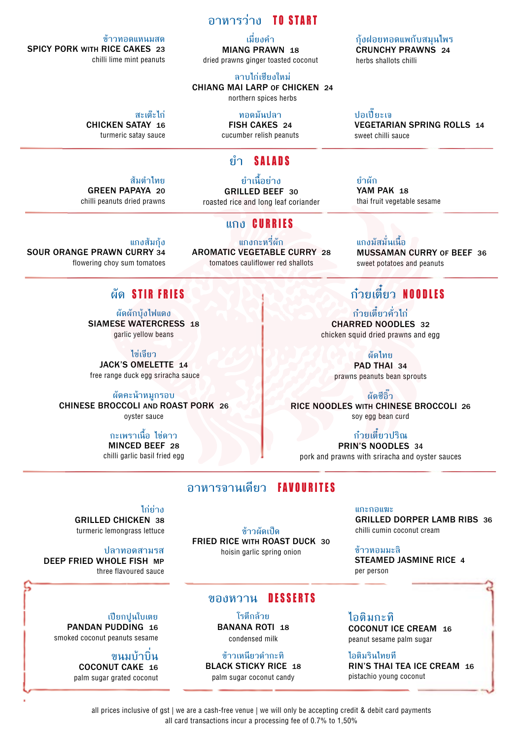### **อาหารว่าง** TO START

**เมี่ยงคำ�** MIANG PRAWN 18 dried prawns ginger toasted coconut

**ลาบไก่เชียงใหม่** CHIANG MAI LARP OF CHICKEN 24 northern spices herbs

**สะเต๊ะไก่** CHICKEN SATAY 16

**ทอดมันปลา** FISH CAKES 24 cucumber relish peanuts

## **ยำ�** SALADS

**ยำ�เนื้อย่าง** GRILLED BEEF 30 roasted rice and long leaf coriander

**แกง** CURRIES

AROMATIC VEGETABLE CURRY 28 tomatoes cauliflower red shallots

#### **ข้าวทอดแหนมสด** SPICY PORK WITH RICE CAKES 23 chilli lime mint peanuts

turmeric satay sauce

#### **ส้มตำ�ไทย** GREEN PAPAYA 20

chilli peanuts dried prawns

**แกงส้มกุ้ง**  SOUR ORANGE PRAWN CURRY 34

flowering choy sum tomatoes

### **ผัด** STIR FRIES

**ผัดผักบุ้งไฟแดง** SIAMESE WATERCRESS 18 garlic yellow beans

**ไข่เจียว** JACK'S OMELETTE 14 free range duck egg sriracha sauce

**ผัดคะน้าหมูกรอบ** CHINESE BROCCOLI AND ROAST PORK 26 oyster sauce

#### **กะเพราเนื้อ ไข่ดาว** MINCED BEEF 28

chilli garlic basil fried egg

## **อาหารจานเดียว** FAVOURITES

**ไก่ย่าง**

GRILLED CHICKEN 38 turmeric lemongrass lettuce

#### **ปลาทอดสามรส**

DEEP FRIED WHOLE FISH MP three flavoured sauce

**เปียกปูนใบเตย** PANDAN PUDDING 16 smoked coconut peanuts sesame

> **ขนมบ้าบิ่น** COCONUT CAKE 16 palm sugar grated coconut

**ข้าวผัดเป็ด** FRIED RICE WITH ROAST DUCK 30 hoisin garlic spring onion

## **ของหวาน** DESSERTS

**โรตีกล้วย**  BANANA ROTI 18 condensed milk

**ข้าวเหนียวดำ�กะทิ** BLACK STICKY RICE <sup>18</sup> palm sugar coconut candy

**ไอติมกะทิ** COCONUT ICE CREAM 16 peanut sesame palm sugar

**ไอติมรินไทยที** RIN'S THAI TEA ICE CREAM 16 pistachio young coconut

**ปอเปี๊ยะเจ** VEGETARIAN SPRING ROLLS 14 sweet chilli sauce

YAM PAK 18 thai fruit vegetable sesame

**แกงมัสมั่นเนื้อ** MUSSAMAN CURRY OF BEEF 36 sweet potatoes and peanuts

# **ก๋วยเตี๋ยว** NOODLES

**ก๋วยเตี๋ยวคั่วไก่** CHARRED NOODLES 32 chicken squid dried prawns and egg

**ผัดไทย**

PAD THAI 34 prawns peanuts bean sprouts

**ผัดซีอิ๊ว** RICE NOODLES WITH CHINESE BROCCOLI 26 soy egg bean curd

**ก๋วยเตี๋ยวปริณ** PRIN'S NOODLES 34 pork and prawns with sriracha and oyster sauces

> **แกะกอแฆะ** GRILLED DORPER LAMB RIBS 36 chilli cumin coconut cream

**ข้าวหอมมะลิ** STEAMED JASMINE RICE 4 per person

all prices inclusive of gst | we are a cash-free venue | we will only be accepting credit & debit card payments all card transactions incur a processing fee of 0.7% to 1,50%

**แกงกะหรี่ผัก**

**กุ้งฝอยทอดแพกับสมุนไพร** CRUNCHY PRAWNS 24

herbs shallots chilli

**ยำ�ผัก**